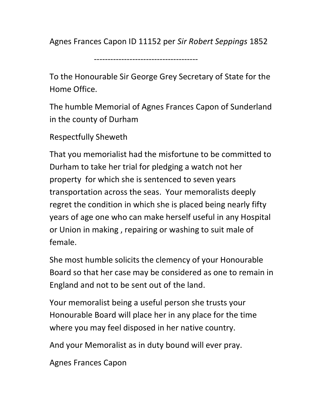Agnes Frances Capon ID 11152 per Sir Robert Seppings 1852

--------------------------------------

To the Honourable Sir George Grey Secretary of State for the Home Office.

The humble Memorial of Agnes Frances Capon of Sunderland in the county of Durham

Respectfully Sheweth

That you memorialist had the misfortune to be committed to Durham to take her trial for pledging a watch not her property for which she is sentenced to seven years transportation across the seas. Your memoralists deeply regret the condition in which she is placed being nearly fifty years of age one who can make herself useful in any Hospital or Union in making , repairing or washing to suit male of female.

She most humble solicits the clemency of your Honourable Board so that her case may be considered as one to remain in England and not to be sent out of the land.

Your memoralist being a useful person she trusts your Honourable Board will place her in any place for the time where you may feel disposed in her native country.

And your Memoralist as in duty bound will ever pray.

Agnes Frances Capon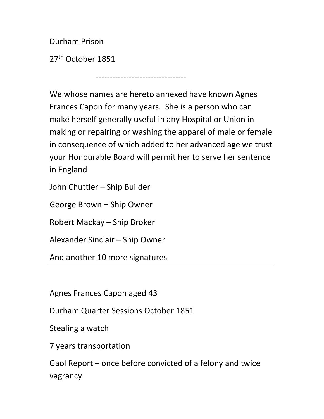Durham Prison

27<sup>th</sup> October 1851

We whose names are hereto annexed have known Agnes Frances Capon for many years. She is a person who can make herself generally useful in any Hospital or Union in making or repairing or washing the apparel of male or female in consequence of which added to her advanced age we trust your Honourable Board will permit her to serve her sentence in England

---------------------------------

John Chuttler – Ship Builder

George Brown – Ship Owner

Robert Mackay – Ship Broker

Alexander Sinclair – Ship Owner

And another 10 more signatures

Agnes Frances Capon aged 43

Durham Quarter Sessions October 1851

Stealing a watch

7 years transportation

Gaol Report – once before convicted of a felony and twice vagrancy